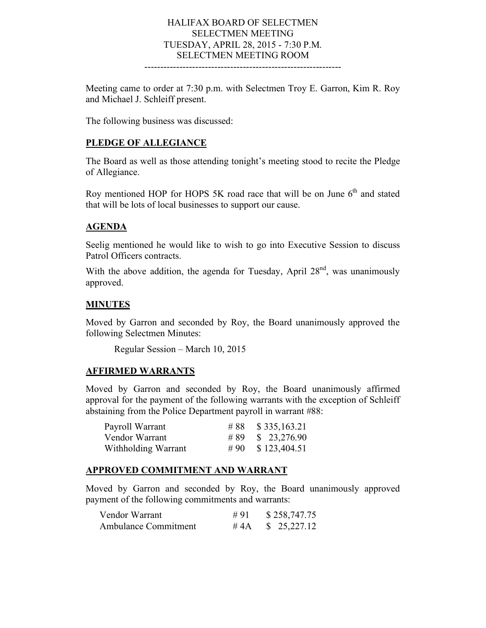## HALIFAX BOARD OF SELECTMEN SELECTMEN MEETING TUESDAY, APRIL 28, 2015 - 7:30 P.M. SELECTMEN MEETING ROOM

--------------------------------------------------------------

Meeting came to order at 7:30 p.m. with Selectmen Troy E. Garron, Kim R. Roy and Michael J. Schleiff present.

The following business was discussed:

#### **PLEDGE OF ALLEGIANCE**

The Board as well as those attending tonight's meeting stood to recite the Pledge of Allegiance.

Roy mentioned HOP for HOPS 5K road race that will be on June  $6<sup>th</sup>$  and stated that will be lots of local businesses to support our cause.

#### **AGENDA**

Seelig mentioned he would like to wish to go into Executive Session to discuss Patrol Officers contracts.

With the above addition, the agenda for Tuesday, April  $28<sup>nd</sup>$ , was unanimously approved.

#### **MINUTES**

Moved by Garron and seconded by Roy, the Board unanimously approved the following Selectmen Minutes:

Regular Session – March 10, 2015

#### **AFFIRMED WARRANTS**

Moved by Garron and seconded by Roy, the Board unanimously affirmed approval for the payment of the following warrants with the exception of Schleiff abstaining from the Police Department payroll in warrant #88:

| Payroll Warrant     | # 88 $$335,163.21$ |
|---------------------|--------------------|
| Vendor Warrant      | #89 \$ 23,276.90   |
| Withholding Warrant | #90 $$123,404.51$  |

#### **APPROVED COMMITMENT AND WARRANT**

Moved by Garron and seconded by Roy, the Board unanimously approved payment of the following commitments and warrants:

| Vendor Warrant              | #91 | \$258,747.75              |
|-----------------------------|-----|---------------------------|
| <b>Ambulance Commitment</b> |     | #4A $\text{\$}$ 25,227.12 |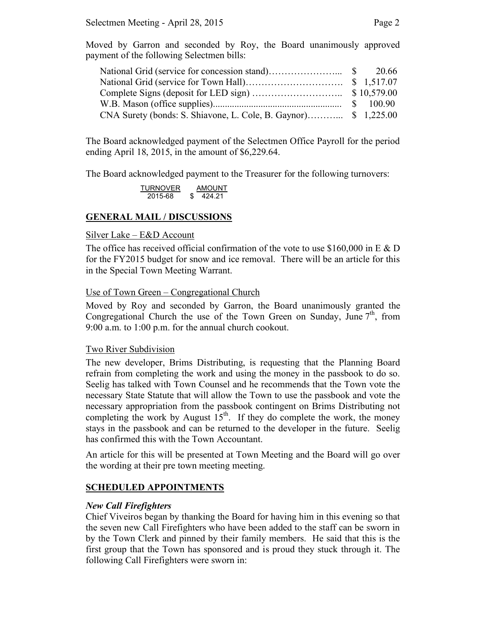Moved by Garron and seconded by Roy, the Board unanimously approved payment of the following Selectmen bills:

The Board acknowledged payment of the Selectmen Office Payroll for the period ending April 18, 2015, in the amount of \$6,229.64.

The Board acknowledged payment to the Treasurer for the following turnovers:

**TURNOVER** AMOUNT<br>2015-68 \$424.21  $\sqrt{424.21}$ 

## **GENERAL MAIL / DISCUSSIONS**

#### Silver Lake – E&D Account

The office has received official confirmation of the vote to use \$160,000 in E  $\&$  D for the FY2015 budget for snow and ice removal. There will be an article for this in the Special Town Meeting Warrant.

#### Use of Town Green – Congregational Church

Moved by Roy and seconded by Garron, the Board unanimously granted the Congregational Church the use of the Town Green on Sunday, June  $7<sup>th</sup>$ , from 9:00 a.m. to 1:00 p.m. for the annual church cookout.

#### Two River Subdivision

The new developer, Brims Distributing, is requesting that the Planning Board refrain from completing the work and using the money in the passbook to do so. Seelig has talked with Town Counsel and he recommends that the Town vote the necessary State Statute that will allow the Town to use the passbook and vote the necessary appropriation from the passbook contingent on Brims Distributing not completing the work by August  $15<sup>th</sup>$ . If they do complete the work, the money stays in the passbook and can be returned to the developer in the future. Seelig has confirmed this with the Town Accountant.

An article for this will be presented at Town Meeting and the Board will go over the wording at their pre town meeting meeting.

### **SCHEDULED APPOINTMENTS**

### *New Call Firefighters*

Chief Viveiros began by thanking the Board for having him in this evening so that the seven new Call Firefighters who have been added to the staff can be sworn in by the Town Clerk and pinned by their family members. He said that this is the first group that the Town has sponsored and is proud they stuck through it. The following Call Firefighters were sworn in: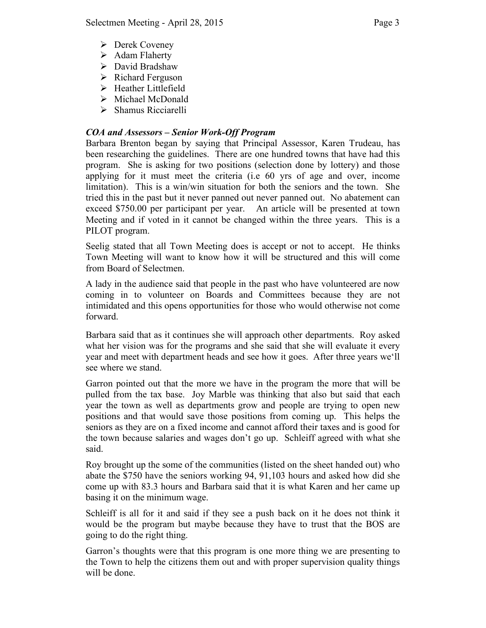- Derek Coveney
- $\triangleright$  Adam Flaherty
- David Bradshaw
- $\triangleright$  Richard Ferguson
- > Heather Littlefield
- $\triangleright$  Michael McDonald
- $\triangleright$  Shamus Ricciarelli

# *COA and Assessors – Senior Work-Off Program*

Barbara Brenton began by saying that Principal Assessor, Karen Trudeau, has been researching the guidelines. There are one hundred towns that have had this program. She is asking for two positions (selection done by lottery) and those applying for it must meet the criteria (i.e 60 yrs of age and over, income limitation). This is a win/win situation for both the seniors and the town. She tried this in the past but it never panned out never panned out. No abatement can exceed \$750.00 per participant per year. An article will be presented at town Meeting and if voted in it cannot be changed within the three years. This is a PILOT program.

Seelig stated that all Town Meeting does is accept or not to accept. He thinks Town Meeting will want to know how it will be structured and this will come from Board of Selectmen.

A lady in the audience said that people in the past who have volunteered are now coming in to volunteer on Boards and Committees because they are not intimidated and this opens opportunities for those who would otherwise not come forward.

Barbara said that as it continues she will approach other departments. Roy asked what her vision was for the programs and she said that she will evaluate it every year and meet with department heads and see how it goes. After three years we'll see where we stand.

Garron pointed out that the more we have in the program the more that will be pulled from the tax base. Joy Marble was thinking that also but said that each year the town as well as departments grow and people are trying to open new positions and that would save those positions from coming up. This helps the seniors as they are on a fixed income and cannot afford their taxes and is good for the town because salaries and wages don't go up. Schleiff agreed with what she said.

Roy brought up the some of the communities (listed on the sheet handed out) who abate the \$750 have the seniors working 94, 91,103 hours and asked how did she come up with 83.3 hours and Barbara said that it is what Karen and her came up basing it on the minimum wage.

Schleiff is all for it and said if they see a push back on it he does not think it would be the program but maybe because they have to trust that the BOS are going to do the right thing.

Garron's thoughts were that this program is one more thing we are presenting to the Town to help the citizens them out and with proper supervision quality things will be done.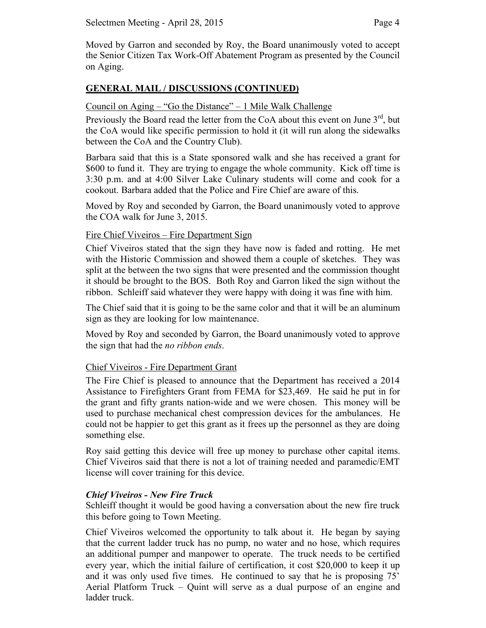Moved by Garron and seconded by Roy, the Board unanimously voted to accept the Senior Citizen Tax Work-Off Abatement Program as presented by the Council on Aging.

# **GENERAL MAIL / DISCUSSIONS (CONTINUED)**

## Council on Aging – "Go the Distance" – 1 Mile Walk Challenge

Previously the Board read the letter from the CoA about this event on June  $3<sup>rd</sup>$ , but the CoA would like specific permission to hold it (it will run along the sidewalks between the CoA and the Country Club).

Barbara said that this is a State sponsored walk and she has received a grant for \$600 to fund it. They are trying to engage the whole community. Kick off time is 3:30 p.m. and at 4:00 Silver Lake Culinary students will come and cook for a cookout. Barbara added that the Police and Fire Chief are aware of this.

Moved by Roy and seconded by Garron, the Board unanimously voted to approve the COA walk for June 3, 2015.

## Fire Chief Viveiros – Fire Department Sign

Chief Viveiros stated that the sign they have now is faded and rotting. He met with the Historic Commission and showed them a couple of sketches. They was split at the between the two signs that were presented and the commission thought it should be brought to the BOS. Both Roy and Garron liked the sign without the ribbon. Schleiff said whatever they were happy with doing it was fine with him.

The Chief said that it is going to be the same color and that it will be an aluminum sign as they are looking for low maintenance.

Moved by Roy and seconded by Garron, the Board unanimously voted to approve the sign that had the *no ribbon ends*.

# Chief Viveiros - Fire Department Grant

The Fire Chief is pleased to announce that the Department has received a 2014 Assistance to Firefighters Grant from FEMA for \$23,469. He said he put in for the grant and fifty grants nation-wide and we were chosen. This money will be used to purchase mechanical chest compression devices for the ambulances. He could not be happier to get this grant as it frees up the personnel as they are doing something else.

Roy said getting this device will free up money to purchase other capital items. Chief Viveiros said that there is not a lot of training needed and paramedic/EMT license will cover training for this device.

### *Chief Viveiros - New Fire Truck*

Schleiff thought it would be good having a conversation about the new fire truck this before going to Town Meeting.

Chief Viveiros welcomed the opportunity to talk about it. He began by saying that the current ladder truck has no pump, no water and no hose, which requires an additional pumper and manpower to operate. The truck needs to be certified every year, which the initial failure of certification, it cost \$20,000 to keep it up and it was only used five times. He continued to say that he is proposing 75' Aerial Platform Truck – Quint will serve as a dual purpose of an engine and ladder truck.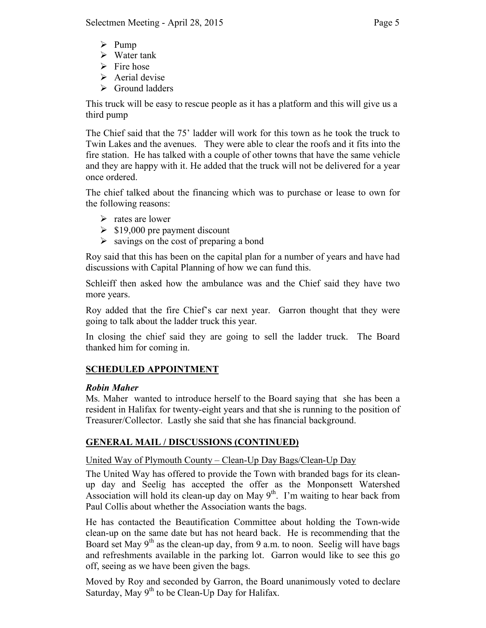- $\triangleright$  Pump
- $\triangleright$  Water tank
- $\triangleright$  Fire hose
- $\triangleright$  Aerial devise
- $\triangleright$  Ground ladders

This truck will be easy to rescue people as it has a platform and this will give us a third pump

The Chief said that the 75' ladder will work for this town as he took the truck to Twin Lakes and the avenues. They were able to clear the roofs and it fits into the fire station. He has talked with a couple of other towns that have the same vehicle and they are happy with it. He added that the truck will not be delivered for a year once ordered.

The chief talked about the financing which was to purchase or lease to own for the following reasons:

- $\triangleright$  rates are lower
- $\geq$  \$19,000 pre payment discount
- $\triangleright$  savings on the cost of preparing a bond

Roy said that this has been on the capital plan for a number of years and have had discussions with Capital Planning of how we can fund this.

Schleiff then asked how the ambulance was and the Chief said they have two more years.

Roy added that the fire Chief's car next year. Garron thought that they were going to talk about the ladder truck this year.

In closing the chief said they are going to sell the ladder truck. The Board thanked him for coming in.

# **SCHEDULED APPOINTMENT**

# *Robin Maher*

Ms. Maher wanted to introduce herself to the Board saying that she has been a resident in Halifax for twenty-eight years and that she is running to the position of Treasurer/Collector. Lastly she said that she has financial background.

# **GENERAL MAIL / DISCUSSIONS (CONTINUED)**

# United Way of Plymouth County – Clean-Up Day Bags/Clean-Up Day

The United Way has offered to provide the Town with branded bags for its cleanup day and Seelig has accepted the offer as the Monponsett Watershed Association will hold its clean-up day on May  $9<sup>th</sup>$ . I'm waiting to hear back from Paul Collis about whether the Association wants the bags.

He has contacted the Beautification Committee about holding the Town-wide clean-up on the same date but has not heard back. He is recommending that the Board set May  $9<sup>th</sup>$  as the clean-up day, from 9 a.m. to noon. Seelig will have bags and refreshments available in the parking lot. Garron would like to see this go off, seeing as we have been given the bags.

Moved by Roy and seconded by Garron, the Board unanimously voted to declare Saturday, May  $9<sup>th</sup>$  to be Clean-Up Day for Halifax.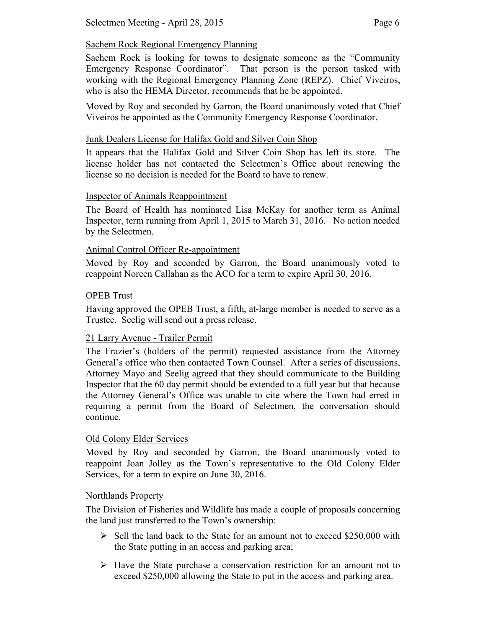Sachem Rock is looking for towns to designate someone as the "Community Emergency Response Coordinator". That person is the person tasked with working with the Regional Emergency Planning Zone (REPZ). Chief Viveiros, who is also the HEMA Director, recommends that he be appointed.

Moved by Roy and seconded by Garron, the Board unanimously voted that Chief Viveiros be appointed as the Community Emergency Response Coordinator.

# Junk Dealers License for Halifax Gold and Silver Coin Shop

It appears that the Halifax Gold and Silver Coin Shop has left its store. The license holder has not contacted the Selectmen's Office about renewing the license so no decision is needed for the Board to have to renew.

# Inspector of Animals Reappointment

The Board of Health has nominated Lisa McKay for another term as Animal Inspector, term running from April 1, 2015 to March 31, 2016. No action needed by the Selectmen.

# Animal Control Officer Re-appointment

Moved by Roy and seconded by Garron, the Board unanimously voted to reappoint Noreen Callahan as the ACO for a term to expire April 30, 2016.

# OPEB Trust

Having approved the OPEB Trust, a fifth, at-large member is needed to serve as a Trustee. Seelig will send out a press release.

# 21 Larry Avenue - Trailer Permit

The Frazier's (holders of the permit) requested assistance from the Attorney General's office who then contacted Town Counsel. After a series of discussions, Attorney Mayo and Seelig agreed that they should communicate to the Building Inspector that the 60 day permit should be extended to a full year but that because the Attorney General's Office was unable to cite where the Town had erred in requiring a permit from the Board of Selectmen, the conversation should continue.

# Old Colony Elder Services

Moved by Roy and seconded by Garron, the Board unanimously voted to reappoint Joan Jolley as the Town's representative to the Old Colony Elder Services, for a term to expire on June 30, 2016.

# Northlands Property

The Division of Fisheries and Wildlife has made a couple of proposals concerning the land just transferred to the Town's ownership:

- $\triangleright$  Sell the land back to the State for an amount not to exceed \$250,000 with the State putting in an access and parking area;
- $\triangleright$  Have the State purchase a conservation restriction for an amount not to exceed \$250,000 allowing the State to put in the access and parking area.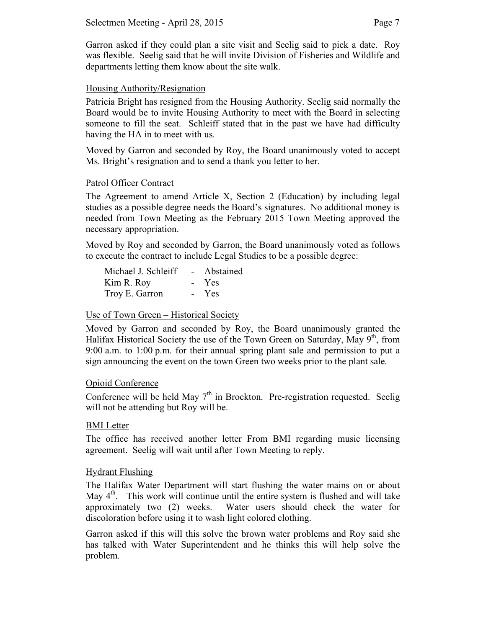Garron asked if they could plan a site visit and Seelig said to pick a date. Roy was flexible. Seelig said that he will invite Division of Fisheries and Wildlife and departments letting them know about the site walk.

## Housing Authority/Resignation

Patricia Bright has resigned from the Housing Authority. Seelig said normally the Board would be to invite Housing Authority to meet with the Board in selecting someone to fill the seat. Schleiff stated that in the past we have had difficulty having the HA in to meet with us.

Moved by Garron and seconded by Roy, the Board unanimously voted to accept Ms. Bright's resignation and to send a thank you letter to her.

### Patrol Officer Contract

The Agreement to amend Article X, Section 2 (Education) by including legal studies as a possible degree needs the Board's signatures. No additional money is needed from Town Meeting as the February 2015 Town Meeting approved the necessary appropriation.

Moved by Roy and seconded by Garron, the Board unanimously voted as follows to execute the contract to include Legal Studies to be a possible degree:

| Michael J. Schleiff | $\sim 100$      | Abstained  |
|---------------------|-----------------|------------|
| Kim R. Roy          |                 | - Yes      |
| Troy E. Garron      | $\sim$ 10 $\pm$ | <b>Yes</b> |

### Use of Town Green – Historical Society

Moved by Garron and seconded by Roy, the Board unanimously granted the Halifax Historical Society the use of the Town Green on Saturday, May  $9<sup>th</sup>$ , from 9:00 a.m. to 1:00 p.m. for their annual spring plant sale and permission to put a sign announcing the event on the town Green two weeks prior to the plant sale.

### Opioid Conference

Conference will be held May  $7<sup>th</sup>$  in Brockton. Pre-registration requested. Seelig will not be attending but Roy will be.

### BMI Letter

The office has received another letter From BMI regarding music licensing agreement. Seelig will wait until after Town Meeting to reply.

### Hydrant Flushing

The Halifax Water Department will start flushing the water mains on or about May  $4<sup>th</sup>$ . This work will continue until the entire system is flushed and will take approximately two (2) weeks. Water users should check the water for discoloration before using it to wash light colored clothing.

Garron asked if this will this solve the brown water problems and Roy said she has talked with Water Superintendent and he thinks this will help solve the problem.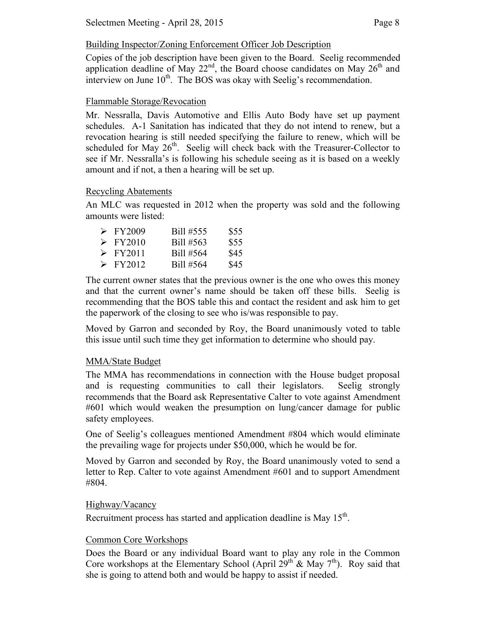# Building Inspector/Zoning Enforcement Officer Job Description

Copies of the job description have been given to the Board. Seelig recommended application deadline of May  $22<sup>nd</sup>$ , the Board choose candidates on May  $26<sup>th</sup>$  and interview on June  $10<sup>th</sup>$ . The BOS was okay with Seelig's recommendation.

## Flammable Storage/Revocation

Mr. Nessralla, Davis Automotive and Ellis Auto Body have set up payment schedules. A-1 Sanitation has indicated that they do not intend to renew, but a revocation hearing is still needed specifying the failure to renew, which will be scheduled for May  $26<sup>th</sup>$ . Seelig will check back with the Treasurer-Collector to see if Mr. Nessralla's is following his schedule seeing as it is based on a weekly amount and if not, a then a hearing will be set up.

## Recycling Abatements

An MLC was requested in 2012 when the property was sold and the following amounts were listed:

| $\triangleright$ FY2009 | Bill #555 | \$55 |
|-------------------------|-----------|------|
| $\triangleright$ FY2010 | Bill #563 | \$55 |
| $\triangleright$ FY2011 | Bill #564 | \$45 |
| $\triangleright$ FY2012 | Bill #564 | \$45 |

The current owner states that the previous owner is the one who owes this money and that the current owner's name should be taken off these bills. Seelig is recommending that the BOS table this and contact the resident and ask him to get the paperwork of the closing to see who is/was responsible to pay.

Moved by Garron and seconded by Roy, the Board unanimously voted to table this issue until such time they get information to determine who should pay.

# MMA/State Budget

The MMA has recommendations in connection with the House budget proposal and is requesting communities to call their legislators. Seelig strongly recommends that the Board ask Representative Calter to vote against Amendment #601 which would weaken the presumption on lung/cancer damage for public safety employees.

One of Seelig's colleagues mentioned Amendment #804 which would eliminate the prevailing wage for projects under \$50,000, which he would be for.

Moved by Garron and seconded by Roy, the Board unanimously voted to send a letter to Rep. Calter to vote against Amendment #601 and to support Amendment #804.

### Highway/Vacancy

Recruitment process has started and application deadline is May  $15<sup>th</sup>$ .

### Common Core Workshops

Does the Board or any individual Board want to play any role in the Common Core workshops at the Elementary School (April 29<sup>th</sup> & May 7<sup>th</sup>). Roy said that she is going to attend both and would be happy to assist if needed.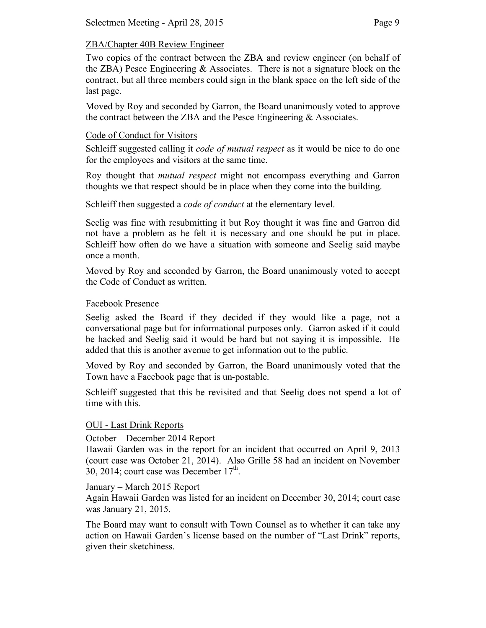# ZBA/Chapter 40B Review Engineer

Two copies of the contract between the ZBA and review engineer (on behalf of the ZBA) Pesce Engineering & Associates. There is not a signature block on the contract, but all three members could sign in the blank space on the left side of the last page.

Moved by Roy and seconded by Garron, the Board unanimously voted to approve the contract between the ZBA and the Pesce Engineering & Associates.

## Code of Conduct for Visitors

Schleiff suggested calling it *code of mutual respect* as it would be nice to do one for the employees and visitors at the same time.

Roy thought that *mutual respect* might not encompass everything and Garron thoughts we that respect should be in place when they come into the building.

Schleiff then suggested a *code of conduct* at the elementary level.

Seelig was fine with resubmitting it but Roy thought it was fine and Garron did not have a problem as he felt it is necessary and one should be put in place. Schleiff how often do we have a situation with someone and Seelig said maybe once a month.

Moved by Roy and seconded by Garron, the Board unanimously voted to accept the Code of Conduct as written.

## Facebook Presence

Seelig asked the Board if they decided if they would like a page, not a conversational page but for informational purposes only. Garron asked if it could be hacked and Seelig said it would be hard but not saying it is impossible. He added that this is another avenue to get information out to the public.

Moved by Roy and seconded by Garron, the Board unanimously voted that the Town have a Facebook page that is un-postable.

Schleiff suggested that this be revisited and that Seelig does not spend a lot of time with this.

# OUI - Last Drink Reports

October – December 2014 Report

Hawaii Garden was in the report for an incident that occurred on April 9, 2013 (court case was October 21, 2014). Also Grille 58 had an incident on November 30, 2014; court case was December  $17<sup>th</sup>$ .

### January – March 2015 Report

Again Hawaii Garden was listed for an incident on December 30, 2014; court case was January 21, 2015.

The Board may want to consult with Town Counsel as to whether it can take any action on Hawaii Garden's license based on the number of "Last Drink" reports, given their sketchiness.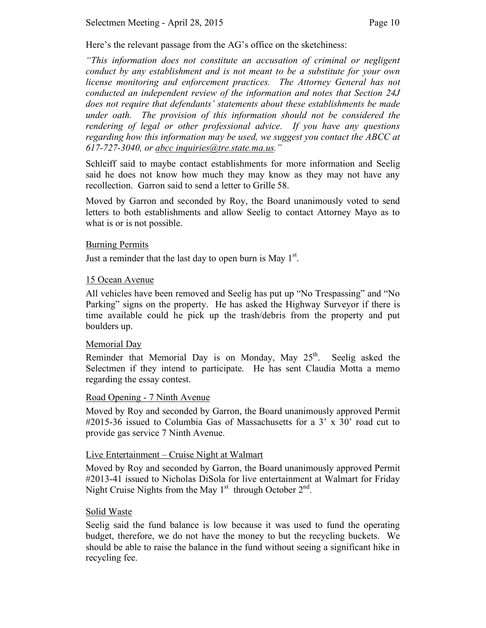Here's the relevant passage from the AG's office on the sketchiness:

*"This information does not constitute an accusation of criminal or negligent conduct by any establishment and is not meant to be a substitute for your own license monitoring and enforcement practices. The Attorney General has not conducted an independent review of the information and notes that Section 24J does not require that defendants' statements about these establishments be made under oath. The provision of this information should not be considered the rendering of legal or other professional advice. If you have any questions regarding how this information may be used, we suggest you contact the ABCC at 617-727-3040, or abcc inquiries@tre.state.ma.us."*

Schleiff said to maybe contact establishments for more information and Seelig said he does not know how much they may know as they may not have any recollection. Garron said to send a letter to Grille 58.

Moved by Garron and seconded by Roy, the Board unanimously voted to send letters to both establishments and allow Seelig to contact Attorney Mayo as to what is or is not possible.

### Burning Permits

Just a reminder that the last day to open burn is May  $1<sup>st</sup>$ .

## 15 Ocean Avenue

All vehicles have been removed and Seelig has put up "No Trespassing" and "No Parking" signs on the property. He has asked the Highway Surveyor if there is time available could he pick up the trash/debris from the property and put boulders up.

### Memorial Day

Reminder that Memorial Day is on Monday, May  $25<sup>th</sup>$ . Seelig asked the Selectmen if they intend to participate. He has sent Claudia Motta a memo regarding the essay contest.

# Road Opening - 7 Ninth Avenue

Moved by Roy and seconded by Garron, the Board unanimously approved Permit #2015-36 issued to Columbia Gas of Massachusetts for a 3' x 30' road cut to provide gas service 7 Ninth Avenue.

### Live Entertainment – Cruise Night at Walmart

Moved by Roy and seconded by Garron, the Board unanimously approved Permit #2013-41 issued to Nicholas DiSola for live entertainment at Walmart for Friday Night Cruise Nights from the May  $1<sup>st</sup>$  through October  $2<sup>nd</sup>$ .

# Solid Waste

Seelig said the fund balance is low because it was used to fund the operating budget, therefore, we do not have the money to but the recycling buckets. We should be able to raise the balance in the fund without seeing a significant hike in recycling fee.